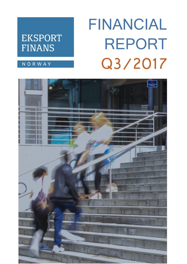# **FINANCIAL REPORT** Q3/2017

## **EKSPORT FINANS**

**NORWAY** 

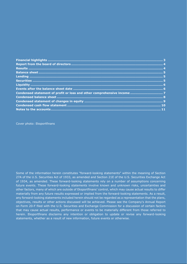Cover photo: Eksportfinans

Some of the information herein constitutes "forward-looking statements" within the meaning of Section 27A of the U.S. Securities Act of 1933, as amended and Section 21E of the U.S. Securities Exchange Act of 1934, as amended. These forward-looking statements rely on a number of assumptions concerning future events. These forward-looking statements involve known and unknown risks, uncertainties and other factors, many of which are outside of Eksportfinans' control, which may cause actual results to differ materially from any future results expressed or implied from the forward-looking statements. As a result, any forward-looking statements included herein should not be regarded as a representation that the plans, objectives, results or other actions discussed will be achieved. Please see the Company's Annual Report on Form 20-F filed with the U.S. Securities and Exchange Commission for a discussion of certain factors that may cause actual results, performance or events to be materially different from those referred to herein. Eksportfinans disclaims any intention or obligation to update or revise any forward-looking statements, whether as a result of new information, future events or otherwise.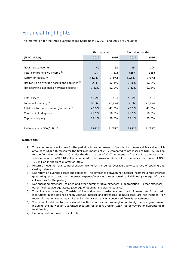### <span id="page-2-0"></span>Financial highlights

The information for the three quarters ended September 30, 2017 and 2016 are unaudited.

|                                                     |            | Third quarter | First nine months |           |  |
|-----------------------------------------------------|------------|---------------|-------------------|-----------|--|
| (NOK million)                                       | 2017       | 2016          | 2017              | 2016      |  |
|                                                     |            |               |                   |           |  |
| Net interest income                                 | 40         | 62            | 154               | 194       |  |
| Total comprehensive income 1)                       | (74)       | (61)          | (287)             | (165)     |  |
| Return on equity $2$ )                              | $(4.3\%)$  | $(3.4\%)$     | $(5.5\%)$         | $(3.0\%)$ |  |
| Net return on average assets and liabilities 3)     | $(0.29\%)$ | 0.11%         | 0.16%             | 0.20%     |  |
| Net operating expenses / average assets $4$ )       | 0.32%      | 0.19%         | 0.42%             | 0.21%     |  |
|                                                     |            |               |                   |           |  |
| <b>Total assets</b>                                 | 23,993     | 37,104        | 23,993            | 37,104    |  |
| Loans outstanding 5)                                | 12,669     | 20,274        | 12,669            | 20,274    |  |
| Public sector borrowers or guarantors <sup>6)</sup> | 45.3%      | 41.6%         | 45.3%             | 41.6%     |  |
| Core capital adequacy                               | 77.1%      | 50.0%         | 77.1%             | 50.0%     |  |
| Capital adequacy                                    | 77.1%      | 50.0%         | 77.1%             | 50.0%     |  |
|                                                     |            |               |                   |           |  |
| Exchange rate NOK/USD 7)                            | 7.9726     | 8.0517        | 7.9726            | 8.0517    |  |

#### **Definitions**

- 1) Total comprehensive income for the period includes net losses on financial instruments at fair value which amount to NOK 446 million for the first nine months of 2017 compared to net losses of NOK 650 million for the first nine months of 2016. For the third quarter of 2017 net losses on financial instruments at fair value amount to NOK 118 million compared to net losses on financial instruments at fair value of NOK 125 million in the third quarter of 2016.
- 2) Return on equity: Total comprehensive income for the period/average equity (average of opening and closing balance).
- 3) Net return on average assets and liabilities: The difference between net interest income/average interest generating assets and net interest expense/average interest-bearing liabilities (average of daily calculations for the period).
- 4) Net operating expenses (salaries and other administrative expenses + depreciation + other expenses other income)/average assets (average of opening and closing balance).
- 5) Total loans outstanding: Consists of loans due from customers and part of loans due from credit institutions in the balance sheet. Accrued interest and unrealized gains/(losses) are not included. For more information see notes 4, 5 and 6 to the accompanying condensed financial statements.
- 6) The ratio of public sector loans (municipalities, counties and Norwegian and foreign central government, including the Norwegian Guarantee Institute for Export Credits (GIEK) as borrowers or guarantors) to total lending.
- <span id="page-2-1"></span>7) Exchange rate at balance sheet date.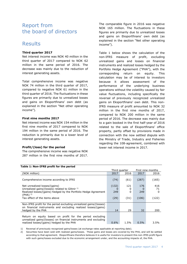### Report from the board of directors

### <span id="page-3-0"></span>Results

#### **Third quarter 2017**

Net interest income was NOK 40 million in the third quarter of 2017 compared to NOK 62 million in the same period of 2016. The decrease was mainly due to the reduction of interest generating assets.

Total comprehensive income was negative NOK 74 million in the third quarter of 2017, compared to negative NOK 61 million in the third quarter of 2016. The fluctuations in these figures are primarily due to unrealized losses and gains on Eksportfinans' own debt (as explained in the section "Net other operating income").

#### **First nine months 2017**

Net interest income was NOK 154 million in the first nine months of 2017 compared to NOK 194 million in the same period of 2016. The reduction is primarily due to a lower level of interest generating assets.

#### **Profit/(loss) for the period**

The comprehensive income was negative NOK 287 million in the first nine months of 2017. The comparable figure in 2016 was negative NOK 165 million. The fluctuations in these figures are primarily due to unrealized losses and gains on Eksportfinans' own debt (as explained in the section "Net other operating income").

Table 1 below shows the calculation of the non-IFRS measure of profit, excluding unrealized gains and losses on financial instruments and realized losses hedged by the Portfolio Hedge Agreement ("PHA"), with the corresponding return on equity. This calculation may be of interest to investors because it allows assessment of the performance of the underlying business operations without the volatility caused by fair value fluctuations, including specifically the reversal of previously recognized unrealized gains on Eksportfinans' own debt. This non-IFRS measure of profit amounted to NOK 32 million in the first nine months of 2017, compared to NOK 200 million in the same period of 2016. The decrease was mainly due to a gain booked in the first half-year of 2016 related to the sale of Eksportfinans' office property, partly offset by provisions made in connection with the now settled dispute with the Ministry of Trade, Industry and Fisheries regarding the 108-agreement, combined with lower net interest income in 2017.

|                                                                                                                                                                                                    |                      | Third quarter         |                     | First nine months       |
|----------------------------------------------------------------------------------------------------------------------------------------------------------------------------------------------------|----------------------|-----------------------|---------------------|-------------------------|
| (NOK million)                                                                                                                                                                                      | 2017                 | 2016                  | 2017                | 2016                    |
| Comprehensive income according to IFRS                                                                                                                                                             | (74)                 | (61)                  | (287)               | (165)                   |
| Net unrealized losses/(gains)<br>Unrealized gains/(losses) related to Glitnir $1$<br>Realized losses/(gains) hedged by the Portfolio Hedge Agreement<br>$(PHA)^2$<br>Tax effect of the items above | (132)<br>249<br>(29) | 121<br>O<br>0<br>(31) | 176<br>249<br>(106) | 416<br>71<br>O<br>(122) |
| Non-IFRS profit for the period excluding unrealized gains/(losses)<br>on financial instruments and excluding realized losses/(gains)<br>hedged by the PHA                                          | 14                   | 29                    | 32                  | 200                     |
| Return on equity based on profit for the period excluding<br>unrealized gains/(losses) on financial instruments and excluding<br>realized losses/(gains) hedged by the PHA                         | $0.6\%$              | 1.5%                  | 0.5%                | 3.5%                    |

#### **Table 1: Non-IFRS profit for the period**

1) Reversal of previously recognized gains/losses (at exchange rates applicable at reporting date).

2) Securities have been sold with realized gains/losses. These gains and losses are covered by the PHA, and will be settled according to that agreement. Eksportfinans therefore believes it is useful for investors to present this non-IFRS profit figure with such gains/losses excluded due to the economic arrangement under, and the accounting impacts of, the PHA.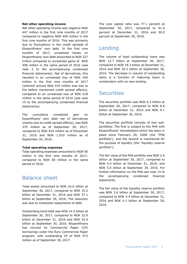#### **Net other operating income**

Net other operating income was negative NOK 447 million in the first nine months of 2017 compared to negative NOK 409 million in the first nine months of 2016. This was primarily due to fluctuations in the credit spreads of Eksportfinans' own debt. In the first nine months of 2017, unrealized losses on Eksportfinans' own debt amounted to NOK 527 million compared to unrealized gains of NOK 408 million in the same period of 2016 (see note 2 to the accompanying condensed financial statements). Net of derivatives, this resulted in an unrealized loss of NOK 440 million in the first nine months of 2017 (whereof around NOK 434 million was due to the before mentioned credit spread effects), compared to an unrealized loss of NOK 618 million in the same period of 2016 (see note 15 to the accompanying condensed financial statements).

The cumulative unrealized gain on Exportfinans' own debt net of derivatives (mainly due to credit spread effects), was NOK 370 million as of September 30, 2017, compared to NOK 810 million as of December 31, 2016 and NOK 1,010 million as of September 30, 2016.

#### **Total operating expenses**

Total operating expenses amounted to NOK 90 million in the first nine months of 2017, compared to NOK 85 million in the same period of 2016.

### <span id="page-4-0"></span>Balance sheet

Total assets amounted to NOK 24.0 billion at September 30, 2017, compared to NOK 33.2 billion at December 31, 2016 and NOK 37.1 billion at September 30, 2016. The reduction was due to scheduled repayments of debt.

Outstanding bond debt was NOK 14.5 billion at September 30, 2017, compared to NOK 22.6 billion at December 31, 2016 and NOK 25.4 billion at September 30, 2016. Eksportfinans has revived its Commercial Paper (CP) borrowings under the Euro Commercial Paper program, with outstanding CP of NOK 573 million as of September 30, 2017.

The core capital ratio was 77.1 percent at September 30, 2017, compared to 61.0 percent at December 31, 2016 and 50.0 percent at September 30, 2016.

### <span id="page-4-1"></span>Lending

The volume of total outstanding loans was NOK 12.7 billion at September 30, 2017, compared to NOK 18.3 billion at December 31, 2016 and NOK 20.3 billion at September 30, 2016. The decrease in volume of outstanding loans is a function of maturing loans in combination with no new lending.

### <span id="page-4-2"></span>**Securities**

The securities portfolio was NOK 6.2 billion at September 30, 2017, compared to NOK 8.8 billion at December 31, 2016 and NOK 9.1 billion at September 30, 2016.

The securities portfolio consists of two subportfolios. The first is subject to the PHA with Eksportfinans' shareholders which has been in place since February 29, 2008 (the "PHA portfolio"), and the second is maintained for the purpose of liquidity (the "liquidity reserve portfolio").

The fair value of the PHA portfolio was NOK 2.6 billion at September 30, 2017, compared to NOK 4.4 billion at December 31, 2016, and NOK 5.0 billion at September 30, 2016. For further information on the PHA see note 14 to the accompanying condensed financial statements.

The fair value of the liquidity reserve portfolio was NOK 3.6 billion at September 30, 2017, compared to NOK 4.4 billion at December 31, 2016 and NOK 4.1 billion at September 30, 2016.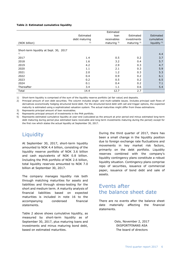#### **Table 2: Estimated cumulative liquidity**

|                                        |               | Estimated      |                |                         |
|----------------------------------------|---------------|----------------|----------------|-------------------------|
|                                        | Estimated     | loan           | Estimated      | Estimated               |
|                                        | debt maturing | receivables    | investments    | cumulative              |
| (NOK billion)                          | 2)            | maturing $3$ ) | maturing $4$ ) | liquidity <sup>5)</sup> |
|                                        |               |                |                |                         |
| Short-term liquidity at Sept. 30, 2017 |               |                |                |                         |
| 1)                                     |               |                |                | 4.4                     |
| 2017                                   | 1.4           | 0.5            | 0.2            | 3.7                     |
| 2018                                   | 1.6           | 3.2            | 0.4            | 5.7                     |
| 2019                                   | 4.2           | 2.9            | 0.3            | 4.7                     |
| 2020                                   | 1.1           | 2.1            | 0.3            | 5.9                     |
| 2021                                   | 2.0           | 1.2            | 0.3            | 5.3                     |
| 2022                                   | 0.4           | 0.9            | 0.2            | 6.1                     |
| 2023                                   | 0.2           | 0.5            | 0.2            | 6.5                     |
| 2024                                   | 0.1           | 0.4            | 0.2            | 7.1                     |
| Thereafter                             | 3.4           | 1.1            | 0.6            | 5.4                     |
| Total                                  | 14.4          | 12.7           | 2.7            |                         |

1) Short-term liquidity is comprised of the sum of the liquidity reserve portfolio (at fair value) and deposits.

2) Principal amount of own debt securities. The column includes single- and multi-callable issues. Includes principal cash flows of derivatives economically hedging structured bond debt. For the structured bond debt with call and trigger options, the expected maturity is estimated using a sophisticated valuation system. The actual maturities might differ from these estimations.

3) Represents principal amount of loan receivables.

4) Represents principal amount of investments in the PHA portfolio.

5) Represents estimated cumulative liquidity at year-end (calculated as the amount at prior period end minus estimated long-term debt maturing during period plus estimated loans receivable and long-term investments maturing during the period) except for the first row which states the actual liquidity at September 30, 2017.

### <span id="page-5-0"></span>**Liquidity**

At September 30, 2017, short-term liquidity amounted to NOK 4.4 billion, consisting of the liquidity reserve portfolio of NOK 3.6 billion and cash equivalents of NOK 0.8 billion. Including the PHA portfolio of NOK 2.6 billion, total liquidity reserves amounted to NOK 7.0 billion at September 30, 2017.

The company manages liquidity risk both through matching maturities for assets and liabilities and through stress-testing for the short and medium term. A maturity analysis of financial liabilities based on expected maturities is included in note 16 to the accompanying condensed financial statements.

Table 2 above shows cumulative liquidity, as measured by short-term liquidity as of September 30, 2017, plus maturing loans and investments and minus maturing bond debt, based on estimated maturities.

During the third quarter of 2017, there has been a small change in the liquidity position due to foreign exchange rate fluctuations and movements in key market risk factors, primarily on the debt portfolio. Liquidity reserves combined with the company's liquidity contingency plans constitute a robust liquidity situation. Contingency plans comprise repo of securities, issuance of commercial paper, issuance of bond debt and sale of assets.

### <span id="page-5-1"></span>Events after the balance sheet date

There are no events after the balance sheet date materially affecting the financial statements.

> Oslo, November 2, 2017 EKSPORTFINANS ASA The board of directors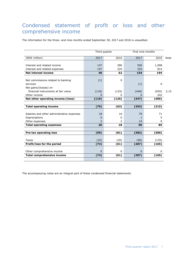### <span id="page-6-0"></span>Condensed statement of profit or loss and other comprehensive income

The information for the three- and nine months ended September 30, 2017 and 2016 is unaudited.

|                                            |                          | Third quarter | First nine months |       |      |
|--------------------------------------------|--------------------------|---------------|-------------------|-------|------|
| (NOK million)                              | 2017                     | 2016          | 2017              | 2016  | Note |
|                                            |                          |               |                   |       |      |
| Interest and related income                | 147                      | 286           | 506               | 1,008 |      |
| Interest and related expenses              | 107                      | 224           | 352               | 814   |      |
| <b>Net interest income</b>                 | 40                       | 62            | 154               | 194   |      |
|                                            |                          |               |                   |       |      |
| Net commissions related to banking         | (1)                      | $\Omega$      |                   |       |      |
| services                                   |                          |               | (1)               | 0     |      |
| Net gains/(losses) on                      |                          |               |                   |       |      |
| financial instruments at fair value        | (118)                    | (125)         | (446)             | (650) | 2,15 |
| Other income                               | $\Omega$                 | 0             | $\Omega$          | 242   |      |
| Net other operating income/(loss)          | (119)                    | (125)         | (447)             | (409) |      |
|                                            |                          |               |                   |       |      |
| <b>Total operating income</b>              | (79)                     | (63)          | (293)             | (215) |      |
|                                            |                          |               |                   |       |      |
| Salaries and other administrative expenses | 18                       | 16            | 79                | 71    |      |
| Depreciations                              | $\Omega$                 | 0             | 1                 | 5     |      |
| Other expenses                             | $\overline{\phantom{a}}$ | 2             | 10                | 9     |      |
| <b>Total operating expenses</b>            | 20                       | 18            | 90                | 85    |      |
|                                            |                          |               |                   |       |      |
| <b>Pre-tax operating loss</b>              | (99)                     | (81)          | (383)             | (300) |      |
|                                            |                          |               |                   |       |      |
| <b>Taxes</b>                               | (25)                     | (20)          | (96)              | (135) |      |
| Profit/loss for the period                 | (74)                     | (61)          | (287)             | (165) |      |
|                                            |                          |               |                   |       |      |
| Other comprehensive income                 | $\Omega$                 | 0             | $\mathbf 0$       | 0     |      |
| <b>Total comprehensive income</b>          | (74)                     | (61)          | (287)             | (165) |      |
|                                            |                          |               |                   |       |      |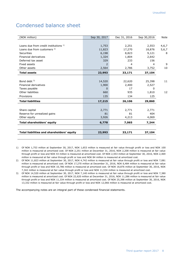### <span id="page-7-0"></span>Condensed balance sheet

| (NOK million)                              | Sep 30, 2017  | Dec 31, 2016 | Sep 30,2016 | Note    |
|--------------------------------------------|---------------|--------------|-------------|---------|
|                                            |               |              |             |         |
| Loans due from credit institutions 1)      | 1,753         | 2,251        | 2,553       | 4,6,7   |
| Loans due from customers <sup>2)</sup>     | 11,823        | 17,270       | 18,876      | 5, 6, 7 |
| Securities                                 | 6,198         | 8,823        | 9,121       | 8       |
| <b>Financial derivatives</b>               | 1,324         | 1,804        | 2,642       |         |
| Deferred tax asset                         | 329           | 233          | 156         |         |
| Fixed assets                               | $\mathcal{P}$ | 4            | 4           | 9       |
| Other assets                               | 2,564         | 2,786        | 3,752       | 10      |
| <b>Total assets</b>                        | 23,993        | 33,171       | 37,104      |         |
|                                            |               |              |             |         |
| Bond debt $3$ )                            | 14,520        | 22,620       | 25,398      | 11      |
| <b>Financial derivatives</b>               | 1,900         | 2,400        | 2,527       |         |
| Taxes payable                              | 0             | 17           | 0           |         |
| Other liabilities                          | 660           | 935          | 1,810       | 12      |
| Provisions                                 | 135           | 134          | 125         |         |
| <b>Total liabilities</b>                   | 17,215        | 26,106       | 29,860      |         |
|                                            |               |              |             |         |
| Share capital                              | 2,771         | 2,771        | 2,771       |         |
| Reserve for unrealized gains               | 81            | 81           | 404         |         |
| Other equity                               | 3,926         | 4,213        | 4,069       |         |
| Total shareholders' equity                 | 6,778         | 7,065        | 7,244       |         |
|                                            |               |              |             |         |
| Total liabilities and shareholders' equity | 23,993        | 33,171       | 37,104      |         |
|                                            |               |              |             |         |
|                                            |               |              |             |         |

1) Of NOK 1,753 million at September 30, 2017, NOK 1,653 million is measured at fair value through profit or loss and NOK 100 million is measured at amortized cost. Of NOK 2,251 million at December 31, 2016, NOK 2,208 million is measured at fair value through profit or loss and NOK 43 million is measured at amortized cost. Of NOK 2,553 million at September 30, 2016, NOK 2,469 million is measured at fair value through profit or loss and NOK 84 million is measured at amortized cost.

2) Of NOK 11,823 million at September 30, 2017, NOK 4,742 million is measured at fair value through profit or loss and NOK 7,081 million is measured at amortized cost. Of NOK 17,270 million at December 31, 2016, NOK 6,484 million is measured at fair value through profit or loss and NOK 10,786 million is measured at amortized cost. Of NOK 18,876 million at September 30, 2016, NOK 7,342 million is measured at fair value through profit or loss and NOK 11,534 million is measured at amortized cost.

3) Of NOK 14,520 million at September 30, 2017, NOK 7,140 million is measured at fair value through profit or loss and NOK 7,380 million is measured at amortized cost. Of NOK 22,620 million at December 31, 2016, NOK 11,286 million is measured at fair value through profit or loss and NOK 11,334 million is measured at amortized cost. Of NOK 25,398 million at September 30, 2016, NOK 13,332 million is measured at fair value through profit or loss and NOK 12,066 million is measured at amortized cost.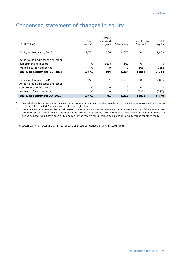### <span id="page-8-0"></span>Condensed statement of changes in equity

| (NOK million)                                                   | Share<br>capital <sup>1</sup> | Reserve<br>unrealized<br>gains | Other equity | Comprehensive<br>Income $2$ ) | Total<br>equity |
|-----------------------------------------------------------------|-------------------------------|--------------------------------|--------------|-------------------------------|-----------------|
| Equity at January 1, 2016                                       | 2,771                         | 566                            | 4,072        | 0                             | 7,409           |
| Actuarial gains/(losses) and other<br>comprehensive income      | 0                             | (162)                          | 162          | 0                             | 0               |
| Profit/(loss) for the period                                    | 0                             | 0                              | 0            | (165)                         | (165)           |
| Equity at September 30, 2016                                    | 2,771                         | 404                            | 4,234        | (165)                         | 7,244           |
| Equity at January 1, 2017<br>Actuarial gains/(losses) and other | 2,771                         | 81                             | 4,213        | 0                             | 7,065           |
| comprehensive income                                            | 0                             | 0                              | $\Omega$     | 0                             | 0               |
| Profit/(loss) for the period                                    | 0                             | 0                              | 0            | (287)                         | (287)           |
| Equity at September 30, 2017                                    | 2,771                         | 81                             | 4,213        | (287)                         | 6,778           |

1) Restricted equity that cannot be paid out to the owners without a shareholder resolution to reduce the share capital in accordance with the Public Limited Companies Act under Norwegian Law.

2) The allocation of income for the period between the reserve for unrealized gains and other equity show that if the allocation was performed at this date, it would have emptied the reserve for unrealized gains and reduced other equity by NOK 206 million. The closing balances would have been NOK 0 million for the reserve for unrealized gains, and NOK 4,007 million for other equity.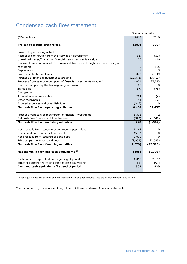### <span id="page-9-0"></span>Condensed cash flow statement

|                                                                                     | First nine months |              |
|-------------------------------------------------------------------------------------|-------------------|--------------|
| (NOK million)                                                                       | 2017              | 2016         |
| Pre-tax operating profit/(loss)                                                     | (383)             | (300)        |
| Provided by operating activities:                                                   |                   |              |
| Accrual of contribution from the Norwegian government                               | (82)              | (51)         |
| Unrealized losses/(gains) on financial instruments at fair value                    | 176               | 416          |
| Realized losses on financial instruments at fair value through profit and loss (non |                   |              |
| cash item)                                                                          | $\Omega$          | 165          |
| Depreciation                                                                        | $\mathbf{1}$      | 5            |
| Principal collected on loans                                                        | 5,070             | 6,949        |
| Purchase of financial investments (trading)                                         | (12, 372)         | (13, 412)    |
| Proceeds from sale or redemption of financial investments (trading)                 | 14,071            | 27,743       |
| Contribution paid by the Norwegian government                                       | 100               | 0            |
| Taxes paid                                                                          | (17)              | (75)         |
| Changes in:                                                                         |                   |              |
| Accrued interest receivable                                                         | 204               | (4)          |
| Other receivables                                                                   | 44                | 991          |
| Accrued expenses and other liabilities                                              | (346)             | 10           |
| Net cash flow from operating activities                                             | 6,466             | 22,437       |
|                                                                                     |                   |              |
| Proceeds from sale or redemption of financial investments                           | 1,306             | 2            |
| Net cash flow from financial derivatives                                            | (578)             | (1, 549)     |
| Net cash flow from investing activities                                             | 728               | (1, 547)     |
| Net proceeds from issuance of commercial paper debt                                 | 1,165             | 0            |
| Repayments of commercial paper debt                                                 | (591)             | 0            |
| Net proceeds from issuance of bond debt                                             | 2,000             | <sup>0</sup> |
| Principal payments on bond debt                                                     | (9,953)           | (22, 598)    |
| Net cash flow from financing activities                                             | (7, 379)          | (22, 598)    |
|                                                                                     |                   |              |
| Net change in cash and cash equivalents <sup>1)</sup>                               | (185)             | (1,708)      |
| Cash and cash equivalents at beginning of period                                    | 1,010             | 2,827        |
| Effect of exchange rates on cash and cash equivalents                               | (16)              | (199)        |
| Cash and cash equivalents <sup>1)</sup> at end of period                            | 809               | 920          |
|                                                                                     |                   |              |

1) Cash equivalents are defined as bank deposits with original maturity less than three months. See note 4.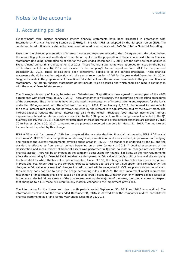### <span id="page-10-0"></span>Notes to the accounts

#### 1. Accounting policies

Eksportfinans' third quarter condensed interim financial statements have been presented in accordance with International Financial Reporting Standards (**IFRS**), in line with IFRS as adopted by the European Union (**EU**). The condensed interim financial statements have been prepared in accordance with IAS 34, Interim Financial Reporting.

Except for the changed presentation of interest income and expenses related to the 108 agreement, described below, the accounting policies and methods of computation applied in the preparation of these condensed interim financial statements (including information as of and for the year ended December 31, 2016) are the same as those applied in Eksportfinans' annual financial statements of 2016. Those financial statements were approved for issue by the Board of Directors on February 16, 2017 and included in the company's Annual Report on Form 20-F for the year-end December 31, 2016. These policies have been consistently applied to all the periods presented. These financial statements should be read in conjunction with the annual report on Form 20-F for the year ended December 31, 2016. Judgments made in the preparations of these financial statements are the same as those made in the year-end financial statements. The interim financial statements do not include risk disclosures and which should be read in conjunction with the annual financial statements.

The Norwegian Ministry of Trade, Industry and Fisheries and Eksportfinans have agreed to amend part of the «108 agreement» with effect from January 1, 2017. These amendments will simplify the accounting and reporting procedures of the agreement. The amendments have also changed the presentation of interest income and expenses for the loans under the 108 agreement, with the effect from January 1, 2017. From January 1, 2017, the interest income reflects the actual interest rate paid by the borrower, adjusted by the interest rate adjustments paid by the government. The interest expense reflects the actual interest rate paid to the lender. Previously, both interest income and interest expense were based on reference rates as specified by the 108 agreement. As this change was not reflected in the Q1 quarterly report, the Q1 2017 numbers for both gross interest income and gross interest expenses are reduced by NOK 70 million as of June 30, 2017, compared to the previously reported numbers for March 31, 2017. The net interest income is not impacted by this change.

IFRS 9 "Financial Instruments" IASB has completed the new standard for financial instruments, IFRS 9 "Financial instruments". IFRS 9 covers recognition and derecognition, classification and measurement, impairment and hedging and replaces the current requirements covering these areas in IAS 39. The standard is endorsed by the EU and the standard is effective as from annual periods beginning on or after January 1, 2018. A detailed assessment of the classification and measurement of financial assets was performed in Q3 and no material changes are expected for financial assets. There will be an impact on the company's accounting for financial liabilities, as the new requirements affect the accounting for financial liabilities that are designated at fair value through profit or loss and the company has bond debt for which the fair value option is applied. Under IAS 39, the changes in fair value have been recognized in profit and loss. Under IFRS 9, the company expects to continue to use the fair value option, and consequently, the changes in fair value as a result of changes in credit spread will be recognized in OCI. As previously communicated, the company does not plan to apply the hedge accounting rules in IFRS 9. The new impairment model requires the recognition of impairment provisions based on expected credit losses (ECL) rather than only incurred credit losses as is the case under IAS 39. As a result of the guarantees covering the majority of the loans, the company does not expect that changing to a ECL model will result in any material changes to the impairment provisions.

The information for the three- and nine month periods ended September 30, 2017 and 2016 is unaudited. The information as of and for the year ended December 31, 2016 is derived from the company's audited consolidated financial statements as of and for the year ended December 31, 2016.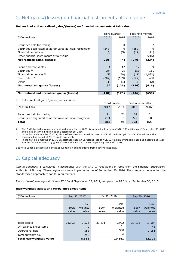### 2. Net gains/(losses) on financial instruments at fair value

#### **Net realized and unrealized gains/(losses) on financial instruments at fair value**

|                                                               | Third quarter |               | First nine months |         |
|---------------------------------------------------------------|---------------|---------------|-------------------|---------|
| (NOK million)                                                 | 2017          | 2016          | 2017              | 2016    |
|                                                               |               |               |                   |         |
| Securities held for trading                                   | $\Omega$      | 0             | 0                 | 2       |
| Securities designated as at fair value at initial recognition | (248)         | 0             | (250)             | 0       |
| Financial derivatives                                         | (5)           | (5)           | (14)              | (21)    |
| Other financial instruments at fair value                     | 3             | 1             | (6)               | (215)   |
| Net realized gains/(losses)                                   | (250)         | (4)           | (270)             | (234)   |
|                                                               |               |               |                   |         |
| Loans and receivables                                         | 1             | 12            | 12                | 99      |
| Securities $1$ )                                              | 284           | 95            | 353               | 161     |
| Financial derivatives <sup>2)</sup>                           | 55            | (58)          | (11)              | (1,082) |
| Bond debt $3)$ 4)                                             | (207)         | (169)         | (527)             | 408     |
| Other                                                         | (1)           | (1)           | (3)               | (2)     |
| Net unrealized gains/(losses)                                 | 132           | (121)         | (176)             | (416)   |
|                                                               |               |               |                   |         |
| Net realized and unrealized gains/(losses)                    | (118)         | (125)         | (446)             | (650)   |
|                                                               |               |               |                   |         |
| Net unrealized gains/(losses) on securities<br>1)             |               |               |                   |         |
|                                                               |               | Third quarter | First nine months |         |
| (NOK million)                                                 | 2017          | 2016          | 2017              | 2016    |
|                                                               |               |               |                   |         |
| Securities held for trading                                   | 21            | 76            | 74                | 101     |
| Securities designated as at fair value at initial recognition | 263           | 19            | 279               | 60      |

2) The Portfolio Hedge Agreement entered into in March 2008, is included with a loss of NOK 133 million as of September 30, 2017 and a loss of NOK 62 million as of September 30, 2016.

3) In the first nine months of 2017, Eksportfinans had an unrealized loss of NOK 527 million (gain of NOK 408 million in the corresponding period of 2016) on its own debt.

**Total 284 95 353 161**

4) In the first nine months of 2017, Eksportfinans had an unrealized loss of NOK 527 million of financial liabilities classified as level 3 in the fair value hierarchy (gain of NOK 408 million in the corresponding period of 2016).

See note 15 for a presentation of the above table including effects from economic hedging.

### 3. Capital adequacy

Capital adequacy is calculated in accordance with the CRD IV regulations in force from the Financial Supervisory Authority of Norway. These regulations were implemented as of September 30, 2014. The company has adopted the standardized approach to capital requirements.

Eksportfinans' leverage ratio<sup>1)</sup> was 27.0 % at September 30, 2017, compared to 18.0 % at September 30, 2016.

#### **Risk-weighted assets and off-balance sheet items**

| (NOK million)             | Sep 30, 2017 |         | Dec 31, 2016 |          |             |          | Sep 30, 2016 |  |
|---------------------------|--------------|---------|--------------|----------|-------------|----------|--------------|--|
|                           |              |         |              |          |             |          |              |  |
|                           |              | Risk-   |              | Risk-    |             | Risk-    |              |  |
|                           | <b>Book</b>  | weighte | Book         | Weighted | <b>Book</b> | weighted |              |  |
|                           | value        | d value | value        | value    | value       | value    |              |  |
|                           |              |         |              |          |             |          |              |  |
|                           |              |         |              |          |             |          |              |  |
| Total assets              | 23,993       | 7,524   | 33,171       | 9,922    | 37,106      | 11,504   |              |  |
| Off-balance sheet items   |              | 0       |              | 51       |             | 48       |              |  |
| Operational risk          |              | 588     |              | 588      |             | 1,151    |              |  |
| Total currency risk       |              | 250     |              | 0        |             | $\Omega$ |              |  |
| Total risk-weighted value |              | 8,362   |              | 10,561   |             | 12,702   |              |  |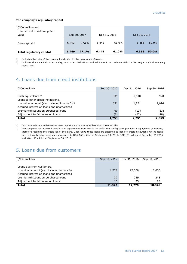#### **The company's regulatory capital**

| (NOK million and<br>in percent of risk-weighted<br>value) |       | Sep 30, 2017 |       | Dec 31, 2016 | Sep 30, 2016 |       |
|-----------------------------------------------------------|-------|--------------|-------|--------------|--------------|-------|
| Core capital $2$ )                                        | 6,449 | 77.1%        | 6,445 | 61.0%        | 6,356        | 50.0% |
| Total regulatory capital                                  | 6,449 | <b>77.1%</b> | 6,445 | 61.0%        | 6,356        | 50.0% |

1) Indicates the ratio of the core capital divided by the book value of assets.

2) Includes share capital, other equity, and other deductions and additions in accordance with the Norwegian capital adequacy regulations.

### 4. Loans due from credit institutions

| (NOK million)                                     | Sep 30, 2017 | Dec 31, 2016 | Sep 30, 2016 |
|---------------------------------------------------|--------------|--------------|--------------|
|                                                   |              |              |              |
| Cash equivalents <sup>1)</sup>                    | 809          | 1,010        | 920          |
| Loans to other credit institutions,               |              |              |              |
| nominal amount (also included in note 6) $^{2}$ ) | 891          | 1,281        | 1,674        |
| Accrued interest on loans and unamortized         |              |              |              |
| premium/discount on purchased loans               | 60           | (13)         | (13)         |
| Adjustment to fair value on loans                 | (7)          | (27)         | (28)         |
| <b>Total</b>                                      | 1,753        | 2,251        | 2,553        |

1) Cash equivalents are defined as bank deposits with maturity of less than three months.

2) The company has acquired certain loan agreements from banks for which the selling bank provides a repayment guarantee, therefore retaining the credit risk of the loans. Under IFRS these loans are classified as loans to credit institutions. Of the loans to credit institutions these loans amounted to NOK 168 million at September 30, 2017, NOK 191 million at December 31,2016 and NOK 198 million at September 30, 2016.

#### 5. Loans due from customers

| (NOK million)                             | Sep 30, 2017 | Dec 31, 2016 | Sep 30, 2016 |
|-------------------------------------------|--------------|--------------|--------------|
|                                           |              |              |              |
| Loans due from customers,                 |              |              |              |
| nominal amount (also included in note 6)  | 11,778       | 17,008       | 18,600       |
| Accrued interest on loans and unamortized |              |              |              |
| premium/discount on purchased loans       | 29           | 239          | 248          |
| Adjustment to fair value on loans         | 16           | 23           | 28           |
| <b>Total</b>                              | 11,823       | 17,270       | 18,876       |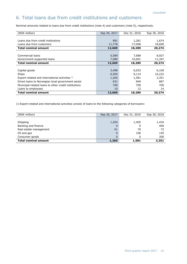### 6. Total loans due from credit institutions and customers

Nominal amounts related to loans due from credit institutions (note 4) and customers (note 5), respectively.

| (NOK million)                                        | Sep 30, 2017 | Dec 31, 2016 | Sep 30, 2016 |
|------------------------------------------------------|--------------|--------------|--------------|
|                                                      |              |              |              |
| Loans due from credit institutions                   | 891          | 1,281        | 1,674        |
| Loans due from customers                             | 11,778       | 17,008       | 18,600       |
| <b>Total nominal amount</b>                          | 12,669       | 18,289       | 20,274       |
|                                                      |              |              |              |
| Commercial loans                                     | 5,589        | 7,688        | 8,927        |
| Government-supported loans                           | 7,080        | 10,601       | 11,347       |
| <b>Total nominal amount</b>                          | 12,669       | 18,289       | 20,274       |
|                                                      |              |              |              |
| Capital goods                                        | 3,498        | 6,033        | 6,100        |
| Ships                                                | 6,565        | 9,114        | 10,222       |
| Export-related and international activities 1)       | 1,265        | 1,581        | 2,351        |
| Direct loans to Norwegian local government sector    | 631          | 849          | 887          |
| Municipal-related loans to other credit institutions | 700          | 700          | 700          |
| Loans to employees                                   | 10           | 12           | 14           |
| <b>Total nominal amount</b>                          | 12,669       | 18,289       | 20,274       |

1) Export-related and international activities consist of loans to the following categories of borrowers:

| (NOK million)               | Sep 30, 2017 | Dec 31, 2016 | Sep 30, 2016 |
|-----------------------------|--------------|--------------|--------------|
|                             |              |              |              |
| Shipping                    | 1,204        | 1,405        | 1,434        |
| Banking and finance         | 0            | 0            | 400          |
| Real estate management      | 61           | 70           | 72           |
| Oil and gas                 | 0            | 106          | 145          |
| Consumer goods              | 0            |              | 300          |
| <b>Total nominal amount</b> | 1,265        | 1,581        | 2,351        |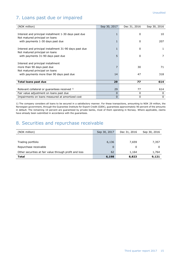### 7. Loans past due or impaired

| (NOK million)                                          | Sep 30, 2017 | Dec 31, 2016 | Sep 30, 2016 |
|--------------------------------------------------------|--------------|--------------|--------------|
|                                                        |              |              |              |
| Interest and principal installment 1-30 days past due  | 1            | 0            | 10           |
| Not matured principal on loans                         |              |              |              |
| with payments 1-30 days past due                       | 1            | 0            | 207          |
|                                                        |              |              |              |
| Interest and principal installment 31-90 days past due | 1            | 0            | 1            |
| Not matured principal on loans                         |              |              |              |
| with payments 31-90 days past due                      | 5            | 0            |              |
|                                                        |              |              |              |
| Interest and principal installment                     |              |              |              |
| more than 90 days past due                             | 7            | 30           | 71           |
| Not matured principal on loans                         |              |              |              |
| with payments more than 90 days past due               | 14           | 47           | 318          |
|                                                        |              |              |              |
| <b>Total loans past due</b>                            | 29           | 77           | 614          |
|                                                        |              |              |              |
| Relevant collateral or guarantees received 1)          | 29           | 77           | 614          |
| Fair value adjustment on loans past due                | 0            | 0            | $\Omega$     |
| Impairments on loans measured at amortized cost        | 0            | 0            | 0            |

1) The company considers all loans to be secured in a satisfactory manner. For these transactions, amounting to NOK 29 million, the Norwegian government, through the Guarantee Institute for Export Credit (GIEK), guarantees approximately 90 percent of the amounts in default. The remaining 10 percent are guaranteed by private banks, most of them operating in Norway. Where applicable, claims have already been submitted in accordance with the guarantees.

### 8. Securities and repurchase receivable

| (NOK million)                                          | Sep 30, 2017 | Dec 31, 2016<br>Sep 30, 2016 |       |
|--------------------------------------------------------|--------------|------------------------------|-------|
|                                                        |              |                              |       |
| Trading portfolio                                      | 6,136        | 7,659                        | 7,357 |
| Repurchase receivable                                  | $\Omega$     | 0                            | O     |
| Other securities at fair value through profit and loss | 62           | 1,164                        | 1,764 |
| <b>Total</b>                                           | 6,198        | 8,823                        | 9,121 |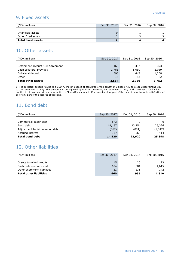### 9. Fixed assets

| (NOK million)             | Sep 30, 2017 | Dec 31, 2016 |  |
|---------------------------|--------------|--------------|--|
|                           |              |              |  |
| Intangible assets         | 0            |              |  |
| Other fixed assets        |              |              |  |
| <b>Total fixed assets</b> |              |              |  |

### 10. Other assets

| (NOK million)                    | Sep 30, 2017 | Dec 31, 2016 | Sep 30, 2016 |
|----------------------------------|--------------|--------------|--------------|
|                                  |              |              |              |
| Settlement account 108 Agreement | 168          | 397          | 373          |
| Cash collateral provided         | 1,783        | 1,660        | 2,089        |
| Collateral deposit $1$ )         | 598          | 647          | 1,208        |
| Other                            | 15           | 82           | -82          |
| <b>Total other assets</b>        | 2,564        | 2,786        | 3,752        |

1) The collateral deposit relates to a USD 75 million deposit of collateral for the benefit of Citibank N.A. to cover Eksportfinans' day to day settlement activity. This amount can be adjusted up or down depending on settlement activity of Eksportfinans. Citibank is entitled to at any time without prior notice to Eksportfinans to set-off or transfer all or part of the deposit in or towards satisfaction of all or any part of the secured obligations.

#### 11. Bond debt

| (NOK million)                    | Dec 31, 2016<br>Sep 30, 2017 |        |          |  | Sep 30, 2016 |
|----------------------------------|------------------------------|--------|----------|--|--------------|
|                                  |                              |        |          |  |              |
| Commercial paper debt            | 573                          | 0      |          |  |              |
| Bond debt                        | 14,157                       | 23,254 | 26,326   |  |              |
| Adjustment to fair value on debt | (367)                        | (894)  | (1, 342) |  |              |
| Accrued interest                 | 157                          | 260    | 414      |  |              |
| <b>Total bond debt</b>           | 14,520                       | 22,620 | 25,398   |  |              |

### 12. Other liabilities

| (NOK million)                  | Sep 30, 2017<br>Dec 31, 2016 |     | Sep 30, 2016 |
|--------------------------------|------------------------------|-----|--------------|
|                                |                              |     |              |
| Grants to mixed credits        | 15                           | 20  | -23          |
| Cash collateral received       | 624                          | 684 | 1,615        |
| Other short-term liabilities   | 21                           | 231 | 172          |
| <b>Total other liabilities</b> | 660                          | 935 | 1,810        |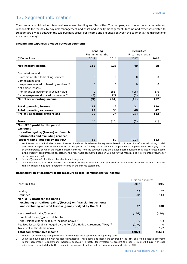### 13. Segment information

The company is divided into two business areas: Lending and Securities. The company also has a treasury department responsible for the day-to-day risk management and asset and liability management. Income and expenses related to treasury are divided between the two business areas. For income and expenses between the segments, the transactions are at arms length.

#### **Income and expenses divided between segments:**

|                                                    |                   | Lending | <b>Securities</b> |              |
|----------------------------------------------------|-------------------|---------|-------------------|--------------|
|                                                    | First nine months |         | First nine months |              |
| (NOK million)                                      | 2017              | 2016    | 2017              | 2016         |
|                                                    |                   |         |                   |              |
| Net interest income 1)                             | 115               | 136     | 40                | 58           |
|                                                    |                   |         |                   |              |
| Commissions and                                    |                   |         |                   |              |
| income related to banking services <sup>2)</sup>   | $\Omega$          | 0       | 0                 | $\mathbf{0}$ |
| Commissions and                                    |                   |         |                   |              |
| expenses related to banking services <sup>2)</sup> | 0                 | 0       | 0                 | 0            |
| Net gains/(losses)                                 |                   |         |                   |              |
| on financial instruments at fair value             | 0                 | (153)   | (16)              | (17)         |
| Income/expense allocated by volume $3$ )           | (3)               | 129     | (3)               | 119          |
| Net other operating income                         | (3)               | (24)    | (19)              | 102          |
|                                                    |                   |         |                   |              |
| <b>Total operating income</b>                      | 112               | 112     | 21                | 159          |
| <b>Total operating expenses</b>                    | 42                | 38      | 48                | 47           |
| Pre-tax operating profit/(loss)                    | 70                | 74      | (27)              | 112          |
|                                                    |                   |         |                   |              |
| Taxes                                              | 18                | (13)    | (7)               | (1)          |
| Non-IFRS profit for the period                     |                   |         |                   |              |
| excluding                                          |                   |         |                   |              |
| unrealized gains/(losses) on financial             |                   |         |                   |              |
| instruments and excluding realized                 |                   |         |                   |              |
| losses/(gains) hedged by the PHA                   | 52                | 87      | (20)              | 113          |

1) Net interest income includes interest income directly attributable to the segments based on Eksportfinans' internal pricing model. The treasury department obtains interest on Eksportfinans' equity and in addition the positive or negative result (margin) based on the difference between the internal interest income from the segments and the actual external funding cost. Net interest income in the treasury department is allocated to the reportable segments based on volume for the margin, and risk weighted volume for the interest on equity.

2) Income/(expense) directly attributable to each segment.

3) Income/expense, other than interest, in the treasury department has been allocated to the business areas by volume. These are items included in net other operating income in the income statement.

#### **Reconciliation of segment profit measure to total comprehensive income:**

|                                                                                     |          | First nine months |
|-------------------------------------------------------------------------------------|----------|-------------------|
| (NOK million)                                                                       | 2017     | 2016              |
|                                                                                     |          |                   |
| Lending                                                                             | 52       | 87                |
| <b>Securities</b>                                                                   | (20)     | 113               |
| Non-IFRS profit for the period                                                      |          |                   |
| excluding unrealized gains/(losses) on financial instruments                        |          |                   |
| and excluding realized losses/(gains) hedged by the PHA                             | 32       | 200               |
|                                                                                     |          |                   |
| Net unrealized gains/(losses) $^{1}$ )                                              | (176)    | (416)             |
| Unrealized losses/(gains) related to                                                |          |                   |
| the Icelandic bank exposure included above 1)                                       | $\Omega$ | (71)              |
| Realized losses/(gains) hedged by the Portfolio Hedge Agreement (PHA) <sup>2)</sup> | (249)    | 0                 |
| Tax effect of the items above                                                       | 106      | 122               |
| <b>Total comprehensive income</b>                                                   | (287)    | (165)             |

1) Reversal of previously recognized loss (at exchange rates applicable at reporting date).

2) Securities have been sold with realized gains/losses. These gains and losses are covered by the PHA, and will be settled according to that agreement. Eksportfinans therefore believes it is useful for investors to present this non-IFRS profit figure with such gains/losses excluded due to the economic arrangement under, and the accounting impacts of, the PHA.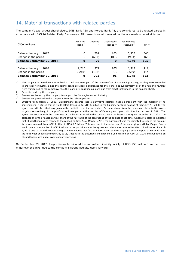#### 14. Material transactions with related parties

The company's two largest shareholders, DNB Bank ASA and Nordea Bank AB, are considered to be related parties in accordance with IAS 24 Related Party Disclosures. All transactions with related parties are made on market terms.

|                                   | Acquired  | Deposits | Guarantees  | Guarantees  |                  |
|-----------------------------------|-----------|----------|-------------|-------------|------------------|
| (NOK million)                     | loans $1$ | 2)       | issued $3)$ | received 4) | PHA <sup>5</sup> |
|                                   |           |          |             |             |                  |
| Balance January 1, 2017           | 0         | 701      | 103         | 5,333       | (540)            |
| Change in the period              | 0         | (681)    | (103)       | (993)       | (65)             |
| <b>Balance September 30, 2017</b> | 0         | 20       | $\bf{0}$    | 4,340       | (605)            |
|                                   |           |          |             |             |                  |
| Balance January 1, 2016           | 2,210     | 971      | 105         | 8,317       | (419)            |
| Change in the period              | (2,210)   | (198)    | (9)         | (2,569)     | (114)            |
| <b>Balance September 30, 2016</b> | 0         | 773      | 96          | 5,748       | (533)            |

1) The company acquired loans from banks. The loans were part of the company's ordinary lending activity, as they were extended to the export industry. Since the selling banks provided a guarantee for the loans, not substantially all of the risk and rewards were transferred to the company, thus the loans are classified as loans due from credit institutions in the balance sheet.

2) Deposits made by the company.

3) Guarantees issued by the company to support the Norwegian export industry.

4) Guarantees provided to the company from the related parties.

5) Effective from March 1, 2008, Eksportfinans entered into a derivative portfolio hedge agreement with the majority of its shareholders. It stated that it would offset losses up to NOK 5 billion in the liquidity portfolio held as of February 29, 2008. The agreement will also offset any gains in the portfolio as of the same date. Payments to or from the company related to the losses or gains, respectively, in the portfolio, will take place on the last day of February each year, with the first payment in 2011. The agreement expires with the maturities of the bonds included in the contract, with the latest maturity on December 31, 2023. The balances show the related parties' share of the fair value of the contract as of the balance sheet date. A negative balance indicates that Eksportfinans owes money to the related parties. As of March 1, 2016 the agreement was renegotiated to reduce the amount for losses covered from NOK 5 billion to NOK 1.5 billion. This was due to the reduction of the underlying portfolio. Eksportfinans would pay a monthly fee of NOK 5 million to the participants in the agreement which was reduced to NOK 1.5 million as of March 1, 2016 due to the reduction of the guarantee amount. For further information see the company's annual report on Form 20-F for the fiscal year ended December 31, 2015, (filed with the Securities and Exchange Commission on April 25, 2016 and published on Eksportfinans' web page, [www.eksportfinans.no\)](http://www.eksportfinans.no/).

On September 29, 2017, Eksportfinans terminated the committed liquidity facility of USD 250 million from the three major owner banks, due to the company's strong liquidity going forward.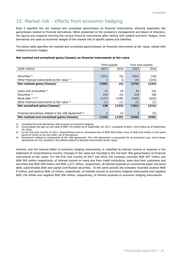#### 15. Market risk - effects from economic hedging

Note 2 specifies the net realized and unrealized gains/losses on financial instruments, showing separately the gains/losses related to financial derivatives. When presented to the company's management and Board of Directors, the figures are prepared showing the various financial instruments after netting with related economic hedges, since derivatives are used as economic hedges of the market risk of specific assets and liabilities.

The below table specifies net realized and unrealized gains/(losses) on financial instruments at fair value, netted with related economic hedges.

#### **Net realized and unrealized gains/(losses) on financial instruments at fair value**

|                                                       |                | Third quarter |       | First nine months |  |
|-------------------------------------------------------|----------------|---------------|-------|-------------------|--|
| (NOK million)                                         | 2017           | 2016          | 2017  | 2016              |  |
|                                                       |                |               |       |                   |  |
| Securities $1$ )                                      | (253)          | (4)           | (264) | (18)              |  |
| Other financial instruments at fair value 1)          |                | 0             | (6)   | (216)             |  |
| Net realized gains/(losses)                           | (250)          | (4)           | (270) | (234)             |  |
|                                                       |                |               |       |                   |  |
| Loans and receivables 1)                              | 13             | 19            | 43    | 101               |  |
| Securities $1$ )                                      | 243            | (3)           | 219   | 106               |  |
| Bond debt 1) 2) 3)                                    | (127)          | (148)         | (440) | (618)             |  |
| Other financial instruments at fair value 1)          | (1)            | (1)           | (3)   | (1)               |  |
| Net unrealized gains/(losses)                         | 128            | (133)         | (181) | (412)             |  |
|                                                       |                |               |       |                   |  |
| Financial derivatives related to the 108 Agreement 4) | $\overline{4}$ | 12            | 5     | (4)               |  |
| Net realized and unrealized gains/(losses)            | (118)          | (125)         | (446) | (650)             |  |

1) Including financial derivatives with purpose of economic hedging.<br>2) Accumulated net gain on own debt is NOK 370 million as of Septe

2) Accumulated net gain on own debt is NOK 370 million as of September 30, 2017, compared to NOK 1,010 million as of September 30, 2016.

3) In the first nine months of 2017, Eksportfinans had an unrealized loss of NOK 440 million (loss of NOK 618 million in the same period of 2016) on its own debt, net of derivatives.

4) Derivatives related to components of the 108 Agreement. The 108 Agreement is accounted for at amortized cost, hence these derivatives are not included in the effects related to financial instruments at fair value.

Interest, and the interest effect of economic hedging instruments, is classified as interest income or expense in the statement of comprehensive income. Changes in fair value are recorded in the line item 'Net gains/losses) on financial instruments at fair value'. For the first nine months of 2017 and 2016, the company recorded NOK 497 million and NOK 995 million respectively, of interest income on loans due from credit institutions, loans due from customers and securities and NOK 508 million and NOK 1,271 million, respectively, of interest expense on commercial paper and bond debt, subordinated debt and capital contribution securities. In the same periods the company recorded positive NOK 9 million, and positive NOK 13 million, respectively, of interest income on economic hedging instruments and negative NOK 156 million and negative NOK 456 million, respectively, of interest expense on economic hedging instruments.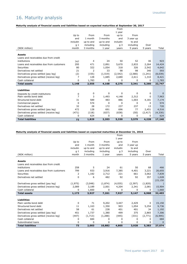### 16. Maturity analysis

#### **Maturity analysis of financial assets and liabilities based on expected maturities at September 30, 2017**

|                                                            |                     |           |             | From           |           |          |          |
|------------------------------------------------------------|---------------------|-----------|-------------|----------------|-----------|----------|----------|
|                                                            |                     |           |             | 1 year         |           |          |          |
|                                                            | Up to               | From      | From        | up to          | From      |          |          |
|                                                            | and                 | 1 month   | 3 months    | and            | 3 year up |          |          |
|                                                            | includin            | up to and | up to and   | includin       | to and    |          |          |
|                                                            | q <sub>1</sub>      | including | including   | q <sub>3</sub> | including | Over     |          |
| (NOK million)                                              | month               | 3 months  | 1 year      | years          | 5 years   | 5 years  | Total    |
| <b>Assets</b>                                              |                     |           |             |                |           |          |          |
| Loans and receivables due from credit                      |                     |           |             |                |           |          |          |
| institutions                                               | 747                 | 4         | 24          | 50             | 52        | 46       | 923      |
| Loans and receivables due from customers                   | 295                 | 471       | 2,891       | 5,670          | 2,833     | 2,264    | 14,424   |
| Securities                                                 | 80                  | 322       | 1,054       | 318            | 326       | 2,542    | 4,642    |
| Derivatives net settled                                    | 21                  | 2         | 33          | 98             | 98        | 340      | 593      |
| Derivatives gross settled (pay leg)                        | (2)                 | (155)     | (1, 519)    | (2, 542)       | (2,580)   | (1,241)  | (8,039)  |
| Derivatives gross settled (receive leg)                    | $\overline{7}$      | 128       | 1,685       | 2,680          | 2,611     | 1,310    | 8,421    |
| Cash collateral                                            | 0                   | 1,783     | 0           | $\Omega$       | 0         | 0        | 1,783    |
| <b>Total assets</b>                                        | 1,148               | 2,555     | 4,168       | 6,275          | 3,341     | 5,260    | 22,747   |
| <b>Liabilities</b>                                         |                     |           |             |                |           |          |          |
|                                                            |                     | 0         | $\mathbf 0$ | $\Omega$       | $\Omega$  | 0        | $\Omega$ |
| Deposits by credit institutions<br>Plain vanilla bond debt | 0<br>$\overline{7}$ | 3         | 1,493       | 4,148          | 2,312     | 0        | 7,963    |
| Structured bond debt                                       | 31                  | 589       | 483         | 886            | 1,003     | 4,181    | 7,174    |
| Commercial papers                                          | 0                   | 574       | 0           | $\Omega$       | $\Omega$  | 0        | 574      |
| Derivatives net settled                                    | 32                  | 28        | 172         | 237            | 237       | 13       | 720      |
| Derivatives gross settled (pay leg)                        | 472                 | 128       | 691         | 696            | 77        | 2,451    | 4,516    |
| Derivatives gross settled (receive leg)                    | (471)               | (118)     | (637)       | (638)          | (50)      | (2, 417) | (4,330)  |
| Cash collateral                                            | 0                   | 624       | 0           | $\Omega$       | 0         | 0        | 624      |
| <b>Total liabilities</b>                                   | 72                  | 1,829     | 2,203       | 5,330          | 3,579     | 4,228    | 17,240   |

#### **Maturity analysis of financial assets and liabilities based on expected maturities at December 31, 2016**

| <b>Total liabilities</b>                               | 73       | 2,003     | 10,882    | 4,805          | 3,928     | 5,383   | 27,074    |
|--------------------------------------------------------|----------|-----------|-----------|----------------|-----------|---------|-----------|
| Subordinated loans                                     | 0        | 0         | 0         | 0              | 0         | 0       | $\Omega$  |
| Cash collateral                                        | 0        | 684       | 0         | 0              | 0         | 0       | 684       |
| Derivatives gross settled (receive leg)                | (447)    | (1,713)   | (1,288)   | (445)          | (331)     | (2,771) | (6,995)   |
| Derivatives gross settled (pay leg)                    | 451      | 1,737     | 1,380     | 499            | 375       | 2,865   | 7,306     |
| Derivatives net settled                                | 58       | 61        | 238       | 401            | 401       | 34      | 1,192     |
| Structured bond debt                                   | 11       | 1,163     | 1,350     | 903            | 1,054     | 5,254   | 9,736     |
| Plain vanilla bond debt                                | 0        | 71        | 9,202     | 3,447          | 2,429     | 0       | 15,150    |
| <b>Liabilities</b>                                     |          |           |           |                |           |         |           |
| <b>Total assets</b>                                    | 1,173    | 3,927     | 7,261     | 7,927          | 5,147     | 6,968   | 32,403    |
| Cash collateral                                        | 0        | 1,660     | $\Omega$  | 0              | 0         | 0       | 1,660     |
| Derivatives gross settled (receive leg)                | 2,089    | 3,189     | 2,001     | 4,204          | 2,341     | 2,081   | 15,904    |
| Derivatives gross settled (pay leg)                    | (1, 975) | (3,048)   | (1,874)   | (4,035)        | (2, 397)  | (1,820) |           |
|                                                        |          |           |           |                |           |         | (15, 150) |
| Derivatives net settled                                | $\Omega$ | 6         | 482       | 92             | 92        | 357     | 1,028     |
| Securities                                             | 2        | 1,182     | 2,712     | 221            | 661       | 3,062   | 7,839     |
| Loans and receivables due from customers               | 799      | 933       | 3,916     | 7,385          | 4,401     | 3,221   | 20,655    |
| institutions                                           | 258      | 5         | 24        | 61             | 50        | 68      | 466       |
| <b>Assets</b><br>Loans and receivables due from credit |          |           |           |                |           |         |           |
| (NOK million)                                          | month    | 3 months  | 1 year    | years          | 5 years   | 5 years | Total     |
|                                                        | g 1      | including | including | q <sub>3</sub> | including | Over    |           |
|                                                        | includin | up to and | up to and | includin       | to and    |         |           |
|                                                        | and      | 1 month   | 3 months  | and            | 3 year up |         |           |
|                                                        | Up to    | From      | From      | up to          | From      |         |           |
|                                                        |          |           |           | 1 year         |           |         |           |
|                                                        |          |           |           | From           |           |         |           |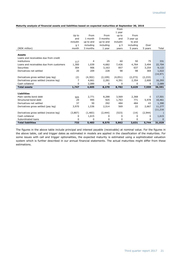|                                          |                |              |           | From           |           |          |           |
|------------------------------------------|----------------|--------------|-----------|----------------|-----------|----------|-----------|
|                                          |                |              |           | 1 year         |           |          |           |
|                                          | Up to          | From         | From      | up to          | From      |          |           |
|                                          | and            | 1 month      | 3 months  | and            | 3 year up |          |           |
|                                          | includin       | up to and    | up to and | includin       | to and    |          |           |
|                                          | q <sub>1</sub> | including    | including | q <sub>3</sub> | including | Over     |           |
| (NOK million)                            | month          | 3 months     | 1 year    | years          | 5 years   | 5 years  | Total     |
| <b>Assets</b>                            |                |              |           |                |           |          |           |
| Loans and receivables due from credit    |                |              |           |                |           |          |           |
| institutions                             | 117            | 4            | 25        | 60             | 50        | 75       | 331       |
| Loans and receivables due from customers | 1,300          | 1,039        | 4,682     | 7,426          | 4,764     | 3,494    | 22,704    |
| Securities                               | 304            | 906          | 3,163     | 857            | 637       | 3,254    | 9,122     |
| Derivatives net settled                  | 20             | 209          | 228       | 98             | 98        | 369      | 1,022     |
|                                          |                |              |           |                |           |          | (14, 971) |
| Derivatives gross settled (pay leg)      | (2)            | (4,302)      | (2, 109)  | (4,051)        | (2, 273)  | (2, 233) |           |
| Derivatives gross settled (receive leg)  | $\overline{7}$ | 4,661        | 2,281     | 4,391          | 2,354     | 2,600    | 16,293    |
| Cash collateral                          | 0              | 2,089        | 0         | 0              | 0         | 0        | 2,089     |
| <b>Total assets</b>                      | 1,747          | 4,605        | 8,270     | 8,782          | 5,629     | 7,559    | 36,591    |
| <b>Liabilities</b>                       |                |              |           |                |           |          |           |
| Plain vanilla bond debt                  | 505            | 2,771        | 8,288     | 3,569          | 2,368     | 0        | 17,501    |
| Structured bond debt                     | 29             | 995          | 925       | 1,763          | 771       | 5,978    | 10,461    |
| Derivatives net settled                  | 37             | 50           | 292       | 484            | 484       | 43       | 1,390     |
| Derivatives gross settled (pay leg)      | 3,970          | 1,536        | 2,514     | 569            | 22        | 2,667    | 11,277    |
|                                          |                |              |           |                |           |          | (11, 216) |
| Derivatives gross settled (receive leg)  | (3,807)        | (1,483)      | (2, 444)  | (523)          | (14)      | (2,944)  |           |
| Cash collateral                          | 0              | 1,615        | 0         | 0              | 0         | 0        | 1,615     |
| Subordinated loans                       | 0              | <sup>0</sup> | 0         | 0              | 0         | 0        | $\Omega$  |
| <b>Total liabilities</b>                 | 733            | 5,483        | 9,575     | 5,862          | 3,631     | 5,744    | 31,029    |

The figures in the above table include principal and interest payable (receivable) at nominal value. For the figures in the above table, call and trigger dates as estimated in models are applied in the classification of the maturities. For some issues with call and trigger optionalities, the expected maturity is estimated using a sophisticated valuation system which is further described in our annual financial statements. The actual maturities might differ from these estimations.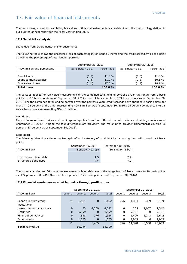### 17. Fair value of financial instruments

The methodology used for calculating fair values of financial instruments is consistent with the methodology defined in our audited annual report for the fiscal year ending 2016.

#### **17.1 Sensitivity analysis**

#### Loans due from credit institutions or customers:

The following table shows the unrealized loss of each category of loans by increasing the credit spread by 1 basis point as well as the percentage of total lending portfolio.

|                              | September 30, 2017 |            | September 30, 2016 |            |  |  |
|------------------------------|--------------------|------------|--------------------|------------|--|--|
| (NOK million and percentage) | Sensitivity (1 bp) | Percentage | Sensitivity (1 bp) | Percentage |  |  |
|                              |                    |            |                    |            |  |  |
| Direct loans                 | (0.5)              | 11.8 %     | (0.6)              | 11.8 %     |  |  |
| Loans to municipalities      | (0.4)              | 11.2 %     | (0.5)              | 10.1 %     |  |  |
| Guaranteed loans             | (1.1)              | 77.0%      | (1.7)              | 78.1 %     |  |  |
| <b>Total loans</b>           |                    | 100.0%     |                    | 100.0%     |  |  |

The spreads applied for fair value measurement of the combined total lending portfolio are in the range from 0 basis points to 105 basis points as of September 30, 2017 (from -4 basis points to 109 basis points as of September 30, 2016). For the combined total lending portfolio over the past two years credit spreads have changed 2 basis points per month in 95 percent of the time, representing NOK 5 million. As of September 30, 2016 a 95 percent confidence interval was 4 basis points representing NOK 11 million.

#### Securities:

Eksportfinans retrieved prices and credit spread quotes from four different market makers and pricing vendors as of September 30, 2017. Among the four different quote providers, the major price provider (Bloomberg) covered 66 percent (87 percent as of September 30, 2016).

#### Bond debt:

The following table shows the unrealized gain of each category of bond debt by increasing the credit spread by 1 basis point:

|                        | September 30, 2017 | September 30, 2016 |
|------------------------|--------------------|--------------------|
| (NOK million)          | Sensitivity (1 bp) | Sensitivity (1 bp) |
|                        |                    |                    |
| Unstructured bond debt | 1.5                | 2.4                |
| Structured bond debt   | 4.4                | 7 በ                |

The spreads applied for fair value measurement of bond debt are in the range from 43 basis points to 90 basis points as of September 30, 2017 (from 75 basis points to 125 basis points as of September 30, 2016).

#### **17.2 Financial assets measured at fair value through profit or loss**

|                          | September 30, 2017<br>September 30, 2016 |         |              |        |         |         |         |        |
|--------------------------|------------------------------------------|---------|--------------|--------|---------|---------|---------|--------|
| (NOK million)            | Level 1                                  | Level 2 | Level 3      | Total  | Level 1 | Level 2 | Level 3 | Total  |
|                          |                                          |         |              |        |         |         |         |        |
| Loans due from credit    | 71                                       | 1,581   | $\mathbf{0}$ | 1,652  | 776     | 1,364   | 329     | 2,469  |
| institutions             |                                          |         |              |        |         |         |         |        |
| Loans due from customers | $\Omega$                                 | 33      | 4,709        | 4,742  | 0       | 255     | 7,087   | 7,342  |
| Securities               | 0                                        | 6,199   | $\mathbf 0$  | 6,199  | 0       | 9,121   | 0       | 9,121  |
| Financial derivatives    | $\Omega$                                 | 548     | 776          | 1,324  | 0       | 1,499   | 1,143   | 2,642  |
| Other assets             | 0                                        | 1,783   | $\mathbf 0$  | 1,783  | 0       | 2,089   | 0       | 2,089  |
|                          | 71                                       |         | 5,485        |        | 776     | 14,328  | 8,558   | 23,663 |
| <b>Total fair value</b>  |                                          | 10,144  |              | 15,700 |         |         |         |        |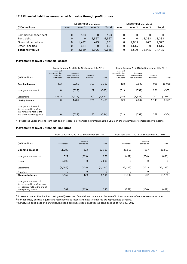#### **17.3 Financial liabilities measured at fair value through profit or loss**

|                         |         | September 30, 2017 |         |       | September 30, 2016 |         |         |        |
|-------------------------|---------|--------------------|---------|-------|--------------------|---------|---------|--------|
| (NOK million)           | Level 1 | Level 2            | Level 3 | Total | Level 1            | Level 2 | Level 3 | Total  |
|                         |         |                    |         |       |                    |         |         |        |
| Commercial paper debt   | 0       | 573                | 0       | 573   | 0                  | 0       |         |        |
| Bond debt               | 0       | 0                  | 6,567   | 6,567 | 0                  | 0       | 13,333  | 13,333 |
| Financial derivatives   | 0       | 1,472              | 429     | 1,901 | 0                  | 1,885   | 642     | 2,527  |
| Other liabilities       | 0       | 624                | 0       | 624   | 0                  | 1.615   | 0       | 1,615  |
| <b>Total fair value</b> | 0       | 2.669              | 6,996   | 9,665 | 0                  | 3,500   | 13,975  | 17,475 |

#### **Movement of level 3 financial assets**

|                                                                                        |                                                             | From January 1, 2017 to September 30, 2017     |                          | From January 1, 2016 to September 30, 2016 |                                                             |                                                |                          |         |
|----------------------------------------------------------------------------------------|-------------------------------------------------------------|------------------------------------------------|--------------------------|--------------------------------------------|-------------------------------------------------------------|------------------------------------------------|--------------------------|---------|
| (NOK million)                                                                          | Loans and<br>receivables due<br>from credit<br>institutions | Loans and<br>receivables due<br>from customers | Financial<br>derivatives | Total                                      | Loans and<br>receivables due<br>from credit<br>institutions | Loans and<br>receivables due<br>from customers | Financial<br>derivatives | Total   |
| <b>Opening balance</b>                                                                 | 353                                                         | 6,260                                          | 769                      | 7,382                                      | 408                                                         | 9,602                                          | 928                      | 10,938  |
| Total gains or losses !)                                                               | $\mathbf{0}$                                                | (327)                                          | 27                       | (300)                                      | (31)                                                        | (532)                                          | 226                      | (337)   |
| Settlements                                                                            | (353)                                                       | (1,224)                                        | (20)                     | (1, 597)                                   | (48)                                                        | (1,983)                                        | (11)                     | (2,042) |
| <b>Closing balance</b>                                                                 | 0                                                           | 4,709                                          | 776                      | 5,485                                      | 329                                                         | 7,087                                          | 1,143                    | 8,559   |
| Total gains or losses !)<br>for the period in profit or<br>loss for assets held at the |                                                             |                                                |                          |                                            |                                                             |                                                |                          |         |
| end of the reporting period                                                            | 0                                                           | (327)                                          | 33                       | (294)                                      | (31)                                                        | (532)                                          | 229                      | (334)   |

\*) Presented under the line item 'Net gains/(losses) on financial instruments at fair value' in the statement of comprehensive income.

#### **Movement of level 3 financial liabilities**

|                                                                                                                               |                         | From January 1, 2017 to September 30, 2017 |              |                         | From January 1, 2016 to September 30, 2016 |           |  |  |
|-------------------------------------------------------------------------------------------------------------------------------|-------------------------|--------------------------------------------|--------------|-------------------------|--------------------------------------------|-----------|--|--|
|                                                                                                                               |                         |                                            |              |                         |                                            |           |  |  |
| (NOK million)                                                                                                                 | Bond debt <sup>3)</sup> | Financial<br>derivatives                   | Total        | Bond debt <sup>3)</sup> | Financial<br>derivatives                   | Total     |  |  |
| <b>Opening balance</b>                                                                                                        | 11,286                  | 823                                        | 12,109       | 35,856                  | 997                                        | 36,853    |  |  |
| Total gains or losses 1) 2)                                                                                                   | 527                     | (269)                                      | 258          | (402)                   | (234)                                      | (636)     |  |  |
| Issues                                                                                                                        | 2,000                   | $\mathbf 0$                                | 2,000        | 0                       | 0                                          | 0         |  |  |
| Settlements                                                                                                                   | (7, 246)                | (125)                                      | (7, 371)     | (22, 122)               | (121)                                      | (22, 243) |  |  |
| Transfers                                                                                                                     | $\mathbf{0}$            | $\mathbf 0$                                | $\mathbf{0}$ | 0                       | 0                                          | 0         |  |  |
| <b>Closing balance</b>                                                                                                        | 6,567                   | 429                                        | 6,996        | 13,332                  | 642                                        | 13,974    |  |  |
| Total gains or losses 1) 2)<br>for the period in profit or loss<br>for liabilities held at the end of<br>the reporting period | 507                     | (263)                                      | 245          | (259)                   | (180)                                      | (439)     |  |  |

1) Presented under the line item 'Net gains/(losses) on financial instruments at fair value' in the statement of comprehensive income.

<sup>2)</sup> For liabilities, positive figures are represented as losses and negative figures are represented as gains.

3) Structured bond debt and unstructured bond debt have been classified as bond debt as of June 30, 2017.